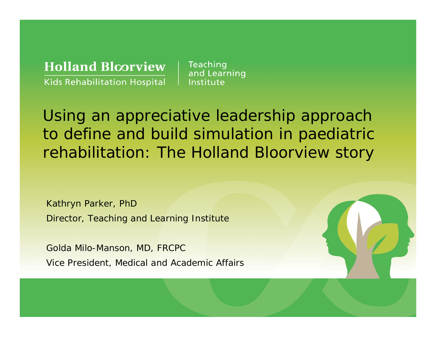**Holland Bloorview Kids Rehabilitation Hospital** 

Teaching and Learning Institute

Using an appreciative leadership approach to define and build simulation in paediatric rehabilitation: The Holland Bloorview story

Kathryn Parker, PhD Director, Teaching and Learning Institute

Golda Milo-Manson, MD, FRCPC Vice President, Medical and Academic Affairs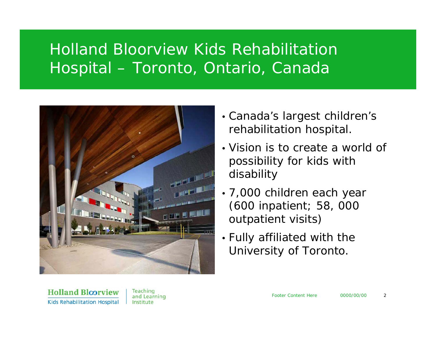## Holland Bloorview Kids Rehabilitation Hospital – Toronto, Ontario, Canada



- Canada's largest children's rehabilitation hospital.
- Vision is to create a world of possibility for kids with disability
- 7,000 children each year (600 inpatient; 58, 000 outpatient visits)
- Fully affiliated with the University of Toronto.

**Holland Bloorview Kids Rehabilitation Hospital** 

Teaching and Learning Institute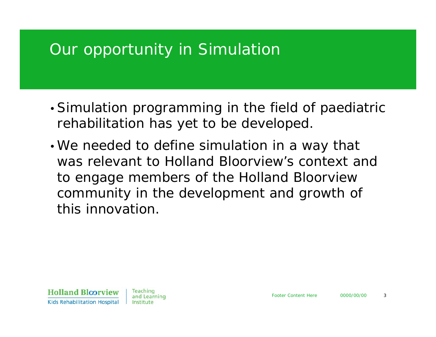### Our opportunity in Simulation

- •Simulation programming in the field of paediatric rehabilitation has yet to be developed.
- •We needed to define simulation in a way that was relevant to Holland Bloorview's context and to engage members of the Holland Bloorview community in the development and growth of this innovation.

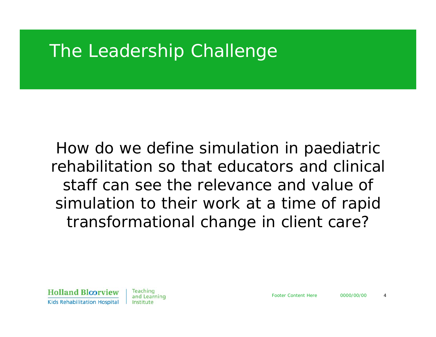# The Leadership Challenge

How do we define simulation in paediatric rehabilitation so that educators and clinical staff can see the relevance and value of simulation to their work at a time of rapid transformational change in client care?

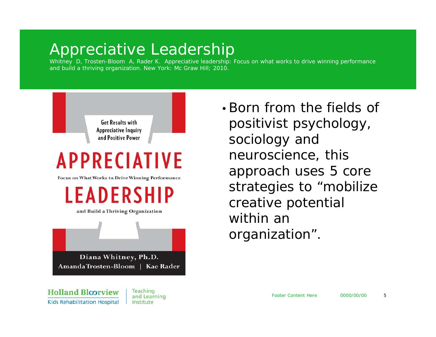### Appreciative Leadership

Whitney D, Trosten-Bloom A, Rader K. *Appreciative leadership: Focus on what works to drive winning performance and build a thriving organization.* New York: Mc Graw Hill; 2010.



•Born from the fields of positivist psychology, sociology and neuroscience, this approach uses 5 core strategies to "mobilize creative potential within an organization".

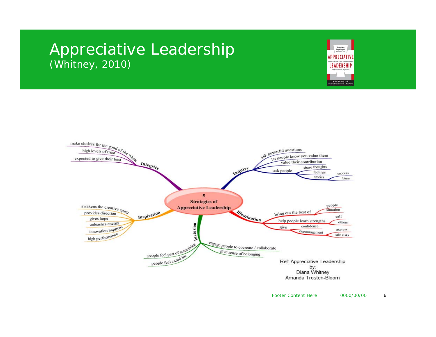### Appreciative Leadership (Whitney, 2010)



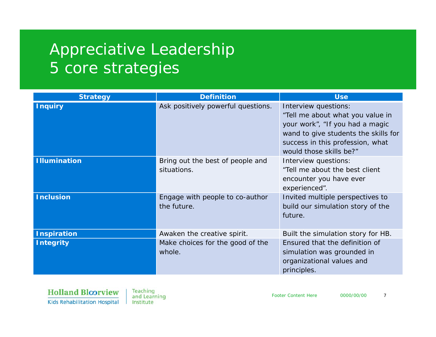# Appreciative Leadership 5 core strategies

| <b>Strategy</b>     | <b>Definition</b>                               | <b>Use</b>                                                                                                                                                                                         |
|---------------------|-------------------------------------------------|----------------------------------------------------------------------------------------------------------------------------------------------------------------------------------------------------|
| <b>Inquiry</b>      | Ask positively powerful questions.              | Interview questions:<br>"Tell me about what you value in<br>your work", "If you had a magic<br>wand to give students the skills for<br>success in this profession, what<br>would those skills be?" |
| <b>Illumination</b> | Bring out the best of people and<br>situations. | Interview questions:<br>"Tell me about the best client<br>encounter you have ever<br>experienced".                                                                                                 |
| <b>Inclusion</b>    | Engage with people to co-author<br>the future.  | Invited multiple perspectives to<br>build our simulation story of the<br>future.                                                                                                                   |
| <b>Inspiration</b>  | Awaken the creative spirit.                     | Built the simulation story for HB.                                                                                                                                                                 |
| <b>Integrity</b>    | Make choices for the good of the<br>whole.      | Ensured that the definition of<br>simulation was grounded in<br>organizational values and<br>principles.                                                                                           |

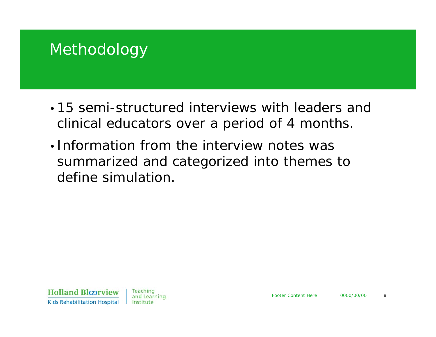### Methodology

- 15 semi-structured interviews with leaders and clinical educators over a period of 4 months.
- Information from the interview notes was summarized and categorized into themes to define simulation.

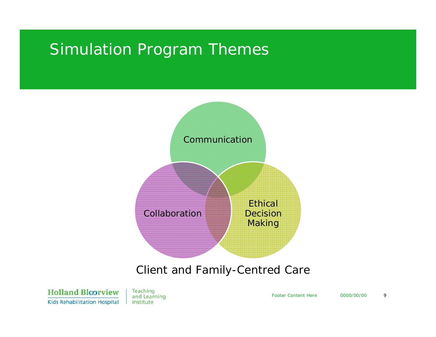### Simulation Program Themes



#### *Client and Family-Centred Care*

**Holland Bloorview Kids Rehabilitation Hospital** 

Teaching and Learning Institute

Footer Content Here0000/00/00 9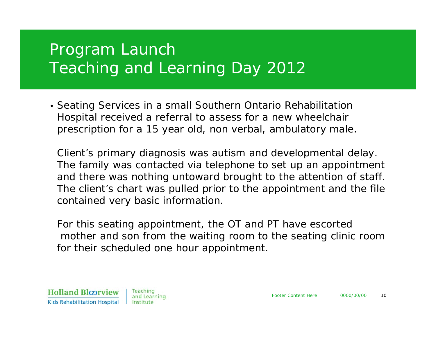# Program Launch Teaching and Learning Day 2012

• Seating Services in a small Southern Ontario Rehabilitation Hospital received a referral to assess for a new wheelchair prescription for a 15 year old, non verbal, ambulatory male.

Client's primary diagnosis was autism and developmental delay. The family was contacted via telephone to set up an appointment and there was nothing untoward brought to the attention of staff. The client's chart was pulled prior to the appointment and the file contained very basic information.

For this seating appointment, the OT and PT have escorted mother and son from the waiting room to the seating clinic room for their scheduled one hour appointment.

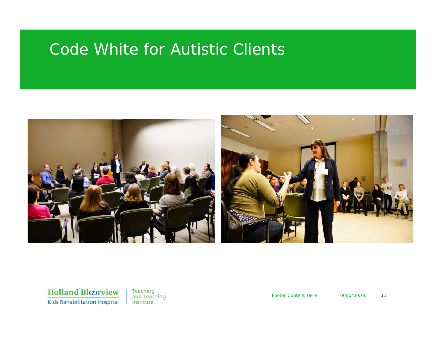### Code White for Autistic Clients



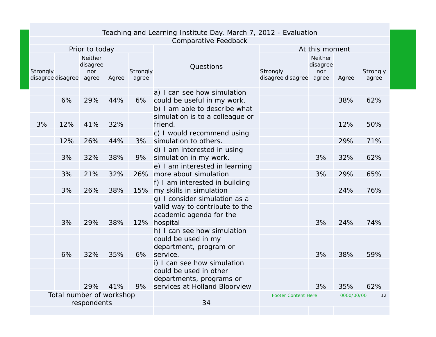| Teaching and Learning Institute Day, March 7, 2012 - Evaluation |                             |                                  |                                   |       |                   |                                         |                                     |  |                                   |       |                   |
|-----------------------------------------------------------------|-----------------------------|----------------------------------|-----------------------------------|-------|-------------------|-----------------------------------------|-------------------------------------|--|-----------------------------------|-------|-------------------|
|                                                                 | <b>Comparative Feedback</b> |                                  |                                   |       |                   |                                         |                                     |  |                                   |       |                   |
|                                                                 |                             | At this moment<br>Prior to today |                                   |       |                   |                                         |                                     |  |                                   |       |                   |
|                                                                 | Strongly                    | disagree disagree agree          | <b>Neither</b><br>disagree<br>nor | Agree | Strongly<br>agree | Questions                               | Strongly<br>disagree disagree agree |  | <b>Neither</b><br>disagree<br>nor | Agree | Strongly<br>agree |
|                                                                 |                             |                                  |                                   |       |                   | a) I can see how simulation             |                                     |  |                                   |       |                   |
|                                                                 |                             | 6%                               | 29%                               | 44%   | 6%                | could be useful in my work.             |                                     |  |                                   | 38%   | 62%               |
|                                                                 |                             |                                  |                                   |       |                   | b) I am able to describe what           |                                     |  |                                   |       |                   |
|                                                                 |                             |                                  |                                   |       |                   | simulation is to a colleague or         |                                     |  |                                   |       |                   |
|                                                                 | 3%                          | 12%                              | 41%                               | 32%   |                   | friend.                                 |                                     |  |                                   | 12%   | 50%               |
|                                                                 |                             |                                  |                                   |       |                   | c) I would recommend using              |                                     |  |                                   |       |                   |
|                                                                 |                             | 12%                              | 26%                               | 44%   | 3%                | simulation to others.                   |                                     |  |                                   | 29%   | 71%               |
|                                                                 |                             |                                  |                                   |       |                   | d) I am interested in using             |                                     |  |                                   |       |                   |
|                                                                 |                             | 3%                               | 32%                               | 38%   | 9%                | simulation in my work.                  |                                     |  | 3%                                | 32%   | 62%               |
|                                                                 |                             |                                  |                                   |       |                   | e) I am interested in learning          |                                     |  |                                   |       |                   |
|                                                                 |                             | 3%                               | 21%                               | 32%   |                   | 26% more about simulation               |                                     |  | 3%                                | 29%   | 65%               |
|                                                                 |                             |                                  |                                   |       |                   | f) I am interested in building          |                                     |  |                                   |       |                   |
|                                                                 |                             | 3%                               | 26%                               | 38%   |                   | 15% my skills in simulation             |                                     |  |                                   | 24%   | 76%               |
|                                                                 |                             |                                  |                                   |       |                   | g) I consider simulation as a           |                                     |  |                                   |       |                   |
|                                                                 |                             |                                  |                                   |       |                   | valid way to contribute to the          |                                     |  |                                   |       |                   |
|                                                                 |                             | 3%                               | 29%                               | 38%   |                   | academic agenda for the<br>12% hospital |                                     |  | 3%                                | 24%   | 74%               |
|                                                                 |                             |                                  |                                   |       |                   | h) I can see how simulation             |                                     |  |                                   |       |                   |
|                                                                 |                             |                                  |                                   |       |                   | could be used in my                     |                                     |  |                                   |       |                   |
|                                                                 |                             |                                  |                                   |       |                   | department, program or                  |                                     |  |                                   |       |                   |
|                                                                 |                             | 6%                               | 32%                               | 35%   | 6%                | service.                                |                                     |  | 3%                                | 38%   | 59%               |
|                                                                 |                             |                                  |                                   |       |                   | i) I can see how simulation             |                                     |  |                                   |       |                   |
|                                                                 |                             |                                  |                                   |       |                   | could be used in other                  |                                     |  |                                   |       |                   |
|                                                                 |                             |                                  |                                   |       |                   | departments, programs or                |                                     |  |                                   |       |                   |
|                                                                 |                             |                                  | 29%                               | 41%   | 9%                | services at Holland Bloorview           |                                     |  | 3%                                | 35%   | 62%               |
| Total number of workshop<br>respondents                         |                             |                                  |                                   |       | 34                |                                         | <b>Footer Content Here</b>          |  | 0000/00/00                        | 12    |                   |
|                                                                 |                             |                                  |                                   |       |                   |                                         |                                     |  |                                   |       |                   |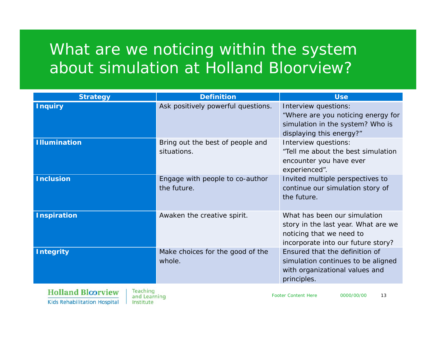# What are we noticing within the system about simulation at Holland Bloorview?

| <b>Strategy</b>                         | <b>Definition</b>                               | <b>Use</b>                                                                                                                            |
|-----------------------------------------|-------------------------------------------------|---------------------------------------------------------------------------------------------------------------------------------------|
| <b>Inquiry</b>                          | Ask positively powerful questions.              | Interview questions:<br>"Where are you noticing energy for<br>simulation in the system? Who is<br>displaying this energy?"            |
| <b>Illumination</b>                     | Bring out the best of people and<br>situations. | Interview questions:<br>"Tell me about the best simulation<br>encounter you have ever<br>experienced".                                |
| <b>Inclusion</b>                        | Engage with people to co-author<br>the future.  | Invited multiple perspectives to<br>continue our simulation story of<br>the future.                                                   |
| <b>Inspiration</b>                      | Awaken the creative spirit.                     | What has been our simulation<br>story in the last year. What are we<br>noticing that we need to<br>incorporate into our future story? |
| <b>Integrity</b>                        | Make choices for the good of the<br>whole.      | Ensured that the definition of<br>simulation continues to be aligned<br>with organizational values and<br>principles.                 |
| $T$ $T$ $T$ $T$ $T$ $T$ $T$ $T$ $T$ $T$ |                                                 |                                                                                                                                       |

**Holland Bloorview Kids Rehabilitation Hospital** 

Teaching and Learning Institute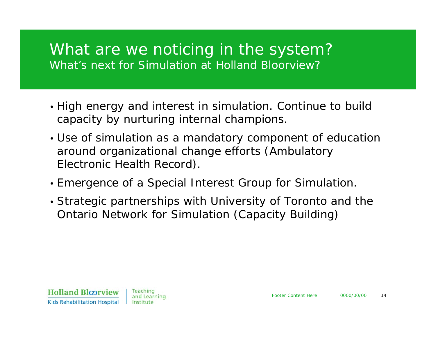### What are we noticing in the system? What's next for Simulation at Holland Bloorview?

- High energy and interest in simulation. Continue to build capacity by nurturing internal champions.
- Use of simulation as a mandatory component of education around organizational change efforts (Ambulatory Electronic Health Record).
- Emergence of a Special Interest Group for Simulation.
- Strategic partnerships with University of Toronto and the Ontario Network for Simulation (Capacity Building)

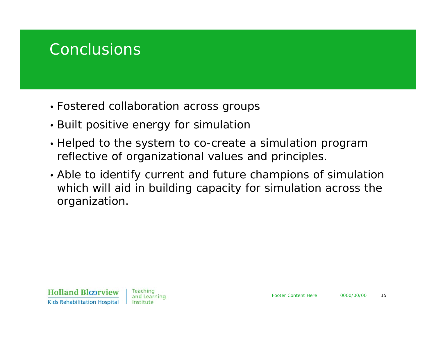### **Conclusions**

- Fostered collaboration across groups
- Built positive energy for simulation
- Helped to the system to co-create a simulation program reflective of organizational values and principles.
- Able to identify current and future champions of simulation which will aid in building capacity for simulation across the organization.